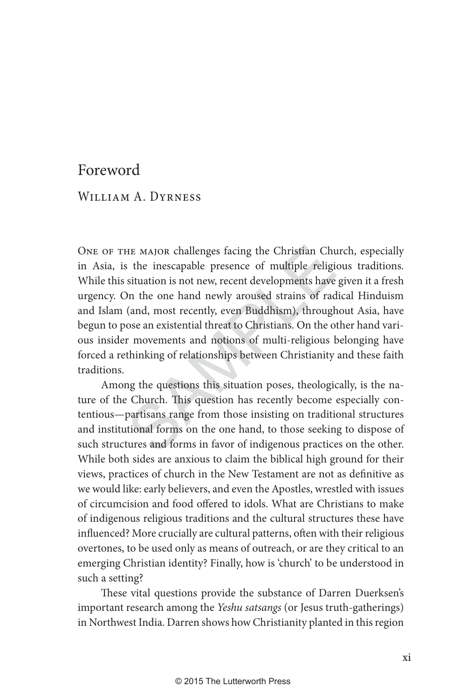## Foreword

## WILLIAM A. DYRNESS

HE MAJOR challenges facing the Christian Chus the inescapable presence of multiple religionsituation is not new, recent developments have on the one hand newly aroused strains of rad (and, most recently, even Buddhism), th ONE OF THE MAJOR challenges facing the Christian Church, especially in Asia, is the inescapable presence of multiple religious traditions. While this situation is not new, recent developments have given it a fresh urgency. On the one hand newly aroused strains of radical Hinduism and Islam (and, most recently, even Buddhism), throughout Asia, have begun to pose an existential threat to Christians. On the other hand various insider movements and notions of multi-religious belonging have forced a rethinking of relationships between Christianity and these faith traditions.

Among the questions this situation poses, theologically, is the nature of the Church. This question has recently become especially contentious—partisans range from those insisting on traditional structures and institutional forms on the one hand, to those seeking to dispose of such structures and forms in favor of indigenous practices on the other. While both sides are anxious to claim the biblical high ground for their views, practices of church in the New Testament are not as definitive as we would like: early believers, and even the Apostles, wrestled with issues of circumcision and food offered to idols. What are Christians to make of indigenous religious traditions and the cultural structures these have influenced? More crucially are cultural patterns, often with their religious overtones, to be used only as means of outreach, or are they critical to an emerging Christian identity? Finally, how is 'church' to be understood in such a setting?

These vital questions provide the substance of Darren Duerksen's important research among the Yeshu satsangs (or Jesus truth-gatherings) in Northwest India. Darren shows how Christianity planted in this region